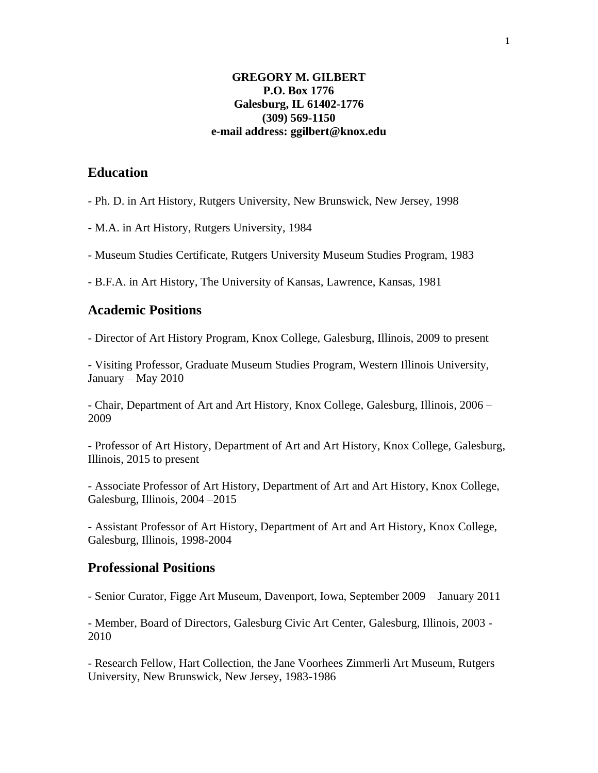#### **GREGORY M. GILBERT P.O. Box 1776 Galesburg, IL 61402-1776 (309) 569-1150 e-mail address: ggilbert@knox.edu**

# **Education**

- Ph. D. in Art History, Rutgers University, New Brunswick, New Jersey, 1998

- M.A. in Art History, Rutgers University, 1984

- Museum Studies Certificate, Rutgers University Museum Studies Program, 1983

- B.F.A. in Art History, The University of Kansas, Lawrence, Kansas, 1981

#### **Academic Positions**

- Director of Art History Program, Knox College, Galesburg, Illinois, 2009 to present

- Visiting Professor, Graduate Museum Studies Program, Western Illinois University, January – May 2010

- Chair, Department of Art and Art History, Knox College, Galesburg, Illinois, 2006 – 2009

- Professor of Art History, Department of Art and Art History, Knox College, Galesburg, Illinois, 2015 to present

- Associate Professor of Art History, Department of Art and Art History, Knox College, Galesburg, Illinois, 2004 –2015

- Assistant Professor of Art History, Department of Art and Art History, Knox College, Galesburg, Illinois, 1998-2004

## **Professional Positions**

- Senior Curator, Figge Art Museum, Davenport, Iowa, September 2009 – January 2011

- Member, Board of Directors, Galesburg Civic Art Center, Galesburg, Illinois, 2003 - 2010

- Research Fellow, Hart Collection, the Jane Voorhees Zimmerli Art Museum, Rutgers University, New Brunswick, New Jersey, 1983-1986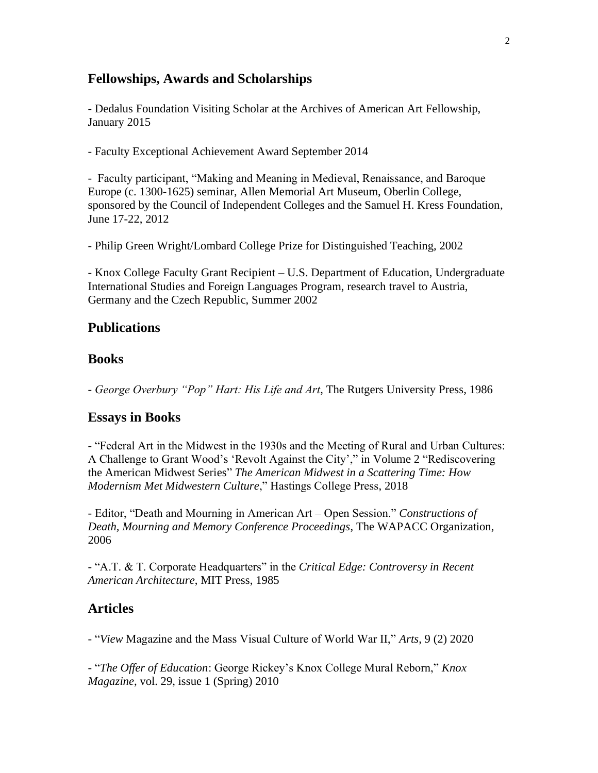### **Fellowships, Awards and Scholarships**

- Dedalus Foundation Visiting Scholar at the Archives of American Art Fellowship, January 2015

- Faculty Exceptional Achievement Award September 2014

- Faculty participant, "Making and Meaning in Medieval, Renaissance, and Baroque Europe (c. 1300-1625) seminar, Allen Memorial Art Museum, Oberlin College, sponsored by the Council of Independent Colleges and the Samuel H. Kress Foundation, June 17-22, 2012

- Philip Green Wright/Lombard College Prize for Distinguished Teaching, 2002

- Knox College Faculty Grant Recipient – U.S. Department of Education, Undergraduate International Studies and Foreign Languages Program, research travel to Austria, Germany and the Czech Republic, Summer 2002

#### **Publications**

#### **Books**

*- George Overbury "Pop" Hart: His Life and Art*, The Rutgers University Press, 1986

#### **Essays in Books**

- "Federal Art in the Midwest in the 1930s and the Meeting of Rural and Urban Cultures: A Challenge to Grant Wood's 'Revolt Against the City'," in Volume 2 "Rediscovering the American Midwest Series" *The American Midwest in a Scattering Time: How Modernism Met Midwestern Culture*," Hastings College Press, 2018

- Editor, "Death and Mourning in American Art – Open Session." *Constructions of Death, Mourning and Memory Conference Proceedings*, The WAPACC Organization, 2006

- "A.T. & T. Corporate Headquarters" in the *Critical Edge: Controversy in Recent American Architecture*, MIT Press, 1985

### **Articles**

- "*View* Magazine and the Mass Visual Culture of World War II," *Arts*, 9 (2) 2020

- "*The Offer of Education*: George Rickey's Knox College Mural Reborn," *Knox Magazine*, vol. 29, issue 1 (Spring) 2010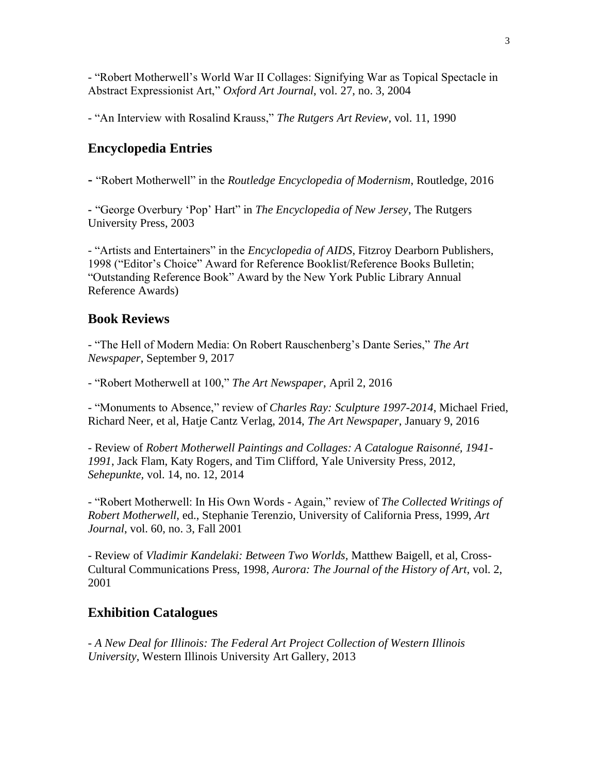- "Robert Motherwell's World War II Collages: Signifying War as Topical Spectacle in Abstract Expressionist Art," *Oxford Art Journal*, vol. 27, no. 3, 2004

- "An Interview with Rosalind Krauss," *The Rutgers Art Review*, vol. 11, 1990

# **Encyclopedia Entries**

**-** "Robert Motherwell" in the *Routledge Encyclopedia of Modernism*, Routledge, 2016

**-** "George Overbury 'Pop' Hart" in *The Encyclopedia of New Jersey*, The Rutgers University Press, 2003

- "Artists and Entertainers" in the *Encyclopedia of AIDS*, Fitzroy Dearborn Publishers, 1998 ("Editor's Choice" Award for Reference Booklist/Reference Books Bulletin; "Outstanding Reference Book" Award by the New York Public Library Annual Reference Awards)

# **Book Reviews**

- "The Hell of Modern Media: On Robert Rauschenberg's Dante Series," *The Art Newspaper*, September 9, 2017

- "Robert Motherwell at 100," *The Art Newspaper*, April 2, 2016

- "Monuments to Absence," review of *Charles Ray: Sculpture 1997-2014*, Michael Fried, Richard Neer, et al, Hatje Cantz Verlag, 2014, *The Art Newspaper*, January 9, 2016

- Review of *Robert Motherwell Paintings and Collages: A Catalogue Raisonné, 1941- 1991*, Jack Flam, Katy Rogers, and Tim Clifford, Yale University Press, 2012, *Sehepunkte,* vol. 14, no. 12, 2014

- "Robert Motherwell: In His Own Words - Again," review of *The Collected Writings of Robert Motherwell*, ed., Stephanie Terenzio, University of California Press, 1999, *Art Journal*, vol. 60, no. 3, Fall 2001

- Review of *Vladimir Kandelaki: Between Two Worlds,* Matthew Baigell, et al, Cross-Cultural Communications Press, 1998, *Aurora: The Journal of the History of Art*, vol. 2, 2001

## **Exhibition Catalogues**

- *A New Deal for Illinois: The Federal Art Project Collection of Western Illinois University*, Western Illinois University Art Gallery, 2013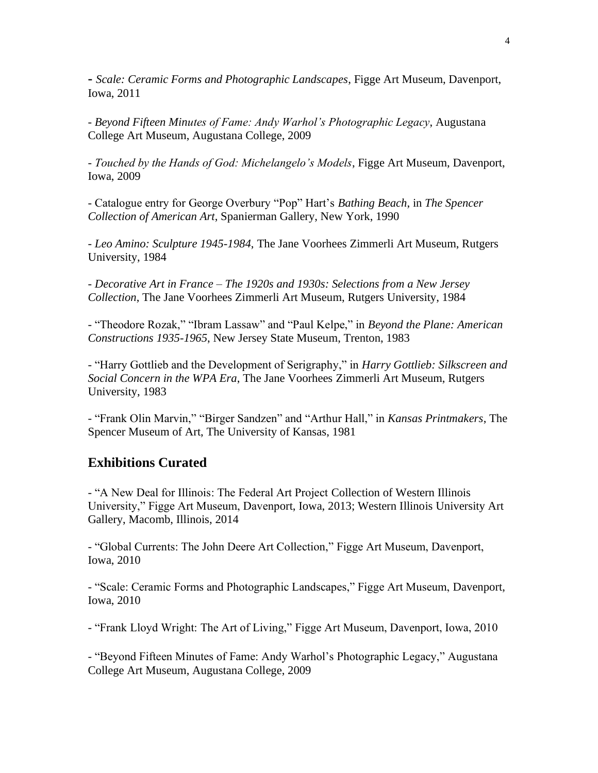**-** *Scale: Ceramic Forms and Photographic Landscapes*, Figge Art Museum, Davenport, Iowa, 2011

- *Beyond Fifteen Minutes of Fame: Andy Warhol's Photographic Legacy*, Augustana College Art Museum, Augustana College, 2009

- *Touched by the Hands of God: Michelangelo's Models*, Figge Art Museum, Davenport, Iowa, 2009

- Catalogue entry for George Overbury "Pop" Hart's *Bathing Beach*, in *The Spencer Collection of American Art*, Spanierman Gallery, New York, 1990

*- Leo Amino: Sculpture 1945-1984*, The Jane Voorhees Zimmerli Art Museum, Rutgers University, 1984

- *Decorative Art in France – The 1920s and 1930s: Selections from a New Jersey Collection*, The Jane Voorhees Zimmerli Art Museum, Rutgers University, 1984

- "Theodore Rozak," "Ibram Lassaw" and "Paul Kelpe," in *Beyond the Plane: American Constructions 1935-1965*, New Jersey State Museum, Trenton, 1983

- "Harry Gottlieb and the Development of Serigraphy," in *Harry Gottlieb: Silkscreen and Social Concern in the WPA Era*, The Jane Voorhees Zimmerli Art Museum, Rutgers University, 1983

- "Frank Olin Marvin," "Birger Sandzen" and "Arthur Hall," in *Kansas Printmakers*, The Spencer Museum of Art, The University of Kansas, 1981

### **Exhibitions Curated**

- "A New Deal for Illinois: The Federal Art Project Collection of Western Illinois University," Figge Art Museum, Davenport, Iowa, 2013; Western Illinois University Art Gallery, Macomb, Illinois, 2014

- "Global Currents: The John Deere Art Collection," Figge Art Museum, Davenport, Iowa, 2010

- "Scale: Ceramic Forms and Photographic Landscapes," Figge Art Museum, Davenport, Iowa, 2010

- "Frank Lloyd Wright: The Art of Living," Figge Art Museum, Davenport, Iowa, 2010

- "Beyond Fifteen Minutes of Fame: Andy Warhol's Photographic Legacy," Augustana College Art Museum, Augustana College, 2009